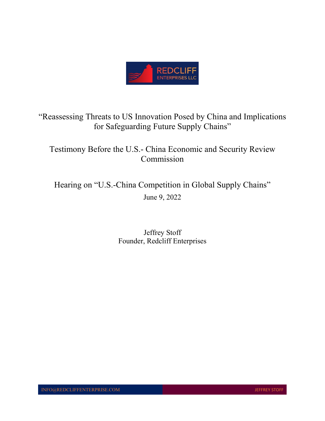

"Reassessing Threats to US Innovation Posed by China and Implications for Safeguarding Future Supply Chains"

Testimony Before the U.S.- China Economic and Security Review Commission

Hearing on "U.S.-China Competition in Global Supply Chains" June 9, 2022

> Jeffrey Stoff Founder, Redcliff Enterprises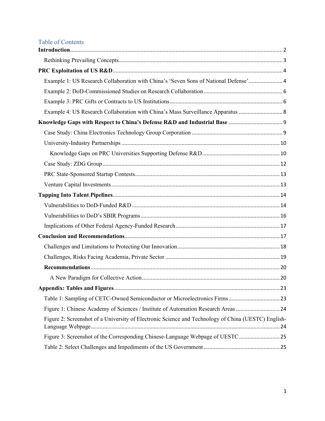| <b>Table of Contents</b>                                                                            |  |
|-----------------------------------------------------------------------------------------------------|--|
|                                                                                                     |  |
|                                                                                                     |  |
|                                                                                                     |  |
| Example 1: US Research Collaboration with China's 'Seven Sons of National Defense'  4               |  |
|                                                                                                     |  |
|                                                                                                     |  |
| Example 4: US Research Collaboration with China's Mass Surveillance Apparatus  8                    |  |
|                                                                                                     |  |
|                                                                                                     |  |
|                                                                                                     |  |
|                                                                                                     |  |
|                                                                                                     |  |
|                                                                                                     |  |
|                                                                                                     |  |
|                                                                                                     |  |
|                                                                                                     |  |
|                                                                                                     |  |
|                                                                                                     |  |
|                                                                                                     |  |
|                                                                                                     |  |
|                                                                                                     |  |
|                                                                                                     |  |
|                                                                                                     |  |
|                                                                                                     |  |
|                                                                                                     |  |
| Figure 1: Chinese Academy of Sciences / Institute of Automation Research Areas 24                   |  |
| Figure 2: Screenshot of a University of Electronic Science and Technology of China (UESTC) English- |  |
| Figure 3: Screenshot of the Corresponding Chinese-Language Webpage of UESTC25                       |  |
|                                                                                                     |  |
|                                                                                                     |  |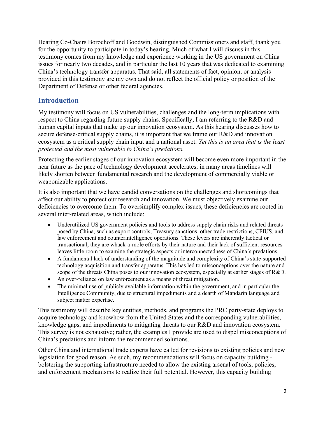Hearing Co-Chairs Borochoff and Goodwin, distinguished Commissioners and staff, thank you for the opportunity to participate in today's hearing. Much of what I will discuss in this testimony comes from my knowledge and experience working in the US government on China issues for nearly two decades, and in particular the last 10 years that was dedicated to examining China's technology transfer apparatus. That said, all statements of fact, opinion, or analysis provided in this testimony are my own and do not reflect the official policy or position of the Department of Defense or other federal agencies.

## <span id="page-2-0"></span>**Introduction**

My testimony will focus on US vulnerabilities, challenges and the long-term implications with respect to China regarding future supply chains. Specifically, I am referring to the R&D and human capital inputs that make up our innovation ecosystem. As this hearing discusses how to secure defense-critical supply chains, it is important that we frame our R&D and innovation ecosystem as a critical supply chain input and a national asset. *Yet this is an area that is the least protected and the most vulnerable to China's predations.* 

Protecting the earlier stages of our innovation ecosystem will become even more important in the near future as the pace of technology development accelerates; in many areas timelines will likely shorten between fundamental research and the development of commercially viable or weaponizable applications.

It is also important that we have candid conversations on the challenges and shortcomings that affect our ability to protect our research and innovation. We must objectively examine our deficiencies to overcome them. To oversimplify complex issues, these deficiencies are rooted in several inter-related areas, which include:

- Underutilized US government policies and tools to address supply chain risks and related threats posed by China, such as export controls, Treasury sanctions, other trade restrictions, CFIUS, and law enforcement and counterintelligence operations. These levers are inherently tactical or transactional; they are whack-a-mole efforts by their nature and their lack of sufficient resources leaves little room to examine the strategic aspects or interconnectedness of China's predations.
- A fundamental lack of understanding of the magnitude and complexity of China's state-supported technology acquisition and transfer apparatus. This has led to misconceptions over the nature and scope of the threats China poses to our innovation ecosystem, especially at earlier stages of R&D.
- An over-reliance on law enforcement as a means of threat mitigation.
- The minimal use of publicly available information within the government, and in particular the Intelligence Community, due to structural impediments and a dearth of Mandarin language and subject matter expertise.

This testimony will describe key entities, methods, and programs the PRC party-state deploys to acquire technology and knowhow from the United States and the corresponding vulnerabilities, knowledge gaps, and impediments to mitigating threats to our R&D and innovation ecosystem. This survey is not exhaustive; rather, the examples I provide are used to dispel misconceptions of China's predations and inform the recommended solutions.

Other China and international trade experts have called for revisions to existing policies and new legislation for good reason. As such, my recommendations will focus on capacity building bolstering the supporting infrastructure needed to allow the existing arsenal of tools, policies, and enforcement mechanisms to realize their full potential. However, this capacity building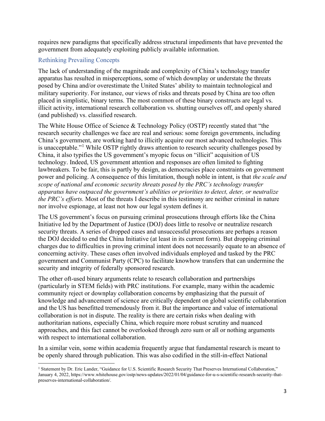requires new paradigms that specifically address structural impediments that have prevented the government from adequately exploiting publicly available information.

### <span id="page-3-0"></span>Rethinking Prevailing Concepts

The lack of understanding of the magnitude and complexity of China's technology transfer apparatus has resulted in misperceptions, some of which downplay or understate the threats posed by China and/or overestimate the United States' ability to maintain technological and military superiority. For instance, our views of risks and threats posed by China are too often placed in simplistic, binary terms. The most common of these binary constructs are legal vs. illicit activity, international research collaboration vs. shutting ourselves off, and openly shared (and published) vs. classified research.

The White House Office of Science & Technology Policy (OSTP) recently stated that "the research security challenges we face are real and serious: some foreign governments, including China's government, are working hard to illicitly acquire our most advanced technologies. This is unacceptable."<sup>[1](#page-3-1)</sup> While OSTP rightly draws attention to research security challenges posed by China, it also typifies the US government's myopic focus on "illicit" acquisition of US technology. Indeed, US government attention and responses are often limited to fighting lawbreakers. To be fair, this is partly by design, as democracies place constraints on government power and policing. A consequence of this limitation, though noble in intent, is that *the scale and scope of national and economic security threats posed by the PRC's technology transfer apparatus have outpaced the government's abilities or priorities to detect, deter, or neutralize the PRC's efforts.* Most of the threats I describe in this testimony are neither criminal in nature nor involve espionage, at least not how our legal system defines it.

The US government's focus on pursuing criminal prosecutions through efforts like the China Initiative led by the Department of Justice (DOJ) does little to resolve or neutralize research security threats. A series of dropped cases and unsuccessful prosecutions are perhaps a reason the DOJ decided to end the China Initiative (at least in its current form). But dropping criminal charges due to difficulties in proving criminal intent does not necessarily equate to an absence of concerning activity. These cases often involved individuals employed and tasked by the PRC government and Communist Party (CPC) to facilitate knowhow transfers that can undermine the security and integrity of federally sponsored research.

The other oft-used binary arguments relate to research collaboration and partnerships (particularly in STEM fields) with PRC institutions. For example, many within the academic community reject or downplay collaboration concerns by emphasizing that the pursuit of knowledge and advancement of science are critically dependent on global scientific collaboration and the US has benefitted tremendously from it. But the importance and value of international collaboration is not in dispute. The reality is there are certain risks when dealing with authoritarian nations, especially China, which require more robust scrutiny and nuanced approaches, and this fact cannot be overlooked through zero sum or all or nothing arguments with respect to international collaboration.

In a similar vein, some within academia frequently argue that fundamental research is meant to be openly shared through publication. This was also codified in the still-in-effect National

<span id="page-3-1"></span><sup>&</sup>lt;sup>1</sup> Statement by Dr. Eric Lander, "Guidance for U.S. Scientific Research Security That Preserves International Collaboration," January 4, 2022, https://www.whitehouse.gov/ostp/news-updates/2022/01/04/guidance-for-u-s-scientific-research-security-thatpreserves-international-collaboration/.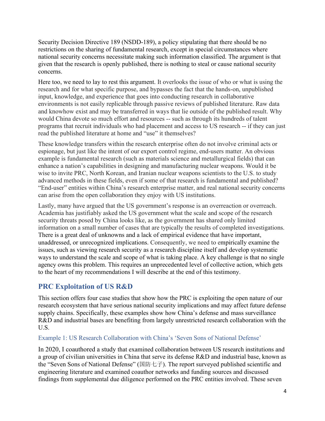Security Decision Directive 189 (NSDD-189), a policy stipulating that there should be no restrictions on the sharing of fundamental research, except in special circumstances where national security concerns necessitate making such information classified. The argument is that given that the research is openly published, there is nothing to steal or cause national security concerns.

Here too, we need to lay to rest this argument. It overlooks the issue of who or what is using the research and for what specific purpose, and bypasses the fact that the hands-on, unpublished input, knowledge, and experience that goes into conducting research in collaborative environments is not easily replicable through passive reviews of published literature. Raw data and knowhow exist and may be transferred in ways that lie outside of the published result. Why would China devote so much effort and resources -- such as through its hundreds of talent programs that recruit individuals who had placement and access to US research -- if they can just read the published literature at home and "use" it themselves?

These knowledge transfers within the research enterprise often do not involve criminal acts or espionage, but just like the intent of our export control regime, end-users matter. An obvious example is fundamental research (such as materials science and metallurgical fields) that can enhance a nation's capabilities in designing and manufacturing nuclear weapons. Would it be wise to invite PRC, North Korean, and Iranian nuclear weapons scientists to the U.S. to study advanced methods in these fields, even if some of that research is fundamental and published? "End-user" entities within China's research enterprise matter, and real national security concerns can arise from the open collaboration they enjoy with US institutions.

Lastly, many have argued that the US government's response is an overreaction or overreach. Academia has justifiably asked the US government what the scale and scope of the research security threats posed by China looks like, as the government has shared only limited information on a small number of cases that are typically the results of completed investigations. There is a great deal of unknowns and a lack of empirical evidence that have important, unaddressed, or unrecognized implications. Consequently, we need to empirically examine the issues, such as viewing research security as a research discipline itself and develop systematic ways to understand the scale and scope of what is taking place. A key challenge is that no single agency owns this problem. This requires an unprecedented level of collective action, which gets to the heart of my recommendations I will describe at the end of this testimony.

# <span id="page-4-0"></span>**PRC Exploitation of US R&D**

This section offers four case studies that show how the PRC is exploiting the open nature of our research ecosystem that have serious national security implications and may affect future defense supply chains. Specifically, these examples show how China's defense and mass surveillance R&D and industrial bases are benefiting from largely unrestricted research collaboration with the U.S.

### <span id="page-4-1"></span>Example 1: US Research Collaboration with China's 'Seven Sons of National Defense'

In 2020, I coauthored a study that examined collaboration between US research institutions and a group of civilian universities in China that serve its defense R&D and industrial base, known as the "Seven Sons of National Defense" (国防七子). The report surveyed published scientific and engineering literature and examined coauthor networks and funding sources and discussed findings from supplemental due diligence performed on the PRC entities involved. These seven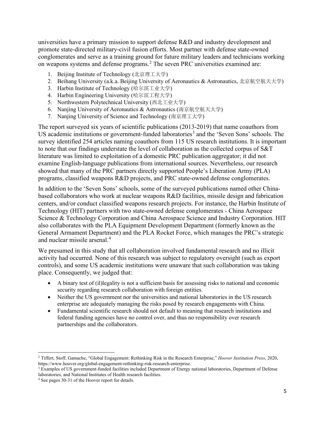universities have a primary mission to support defense R&D and industry development and promote state-directed military-civil fusion efforts. Most partner with defense state-owned conglomerates and serve as a training ground for future military leaders and technicians working on weapons systems and defense programs.[2](#page-5-0) The seven PRC universities examined are:

- 1. Beijing Institute of Technology (北京理工大学)
- 2. Beihang University (a.k.a. Beijing University of Aeronautics & Astronautics, 北京航空航天大学)
- 3. Harbin Institute of Technology (哈尔滨工业大学)
- 4. Harbin Engineering University (哈尔滨工程大学)
- 5. Northwestern Polytechnical University (西北工业大学)
- 6. Nanjing University of Aeronautics & Astronautics (南京航空航天大学)
- 7. Nanjing University of Science and Technology (南京理工大学)

The report surveyed six years of scientific publications (2013-2019) that name coauthors from US academic institutions or government-funded laboratories<sup>[3](#page-5-1)</sup> and the 'Seven Sons' schools. The survey identified 254 articles naming coauthors from 115 US research institutions. It is important to note that our findings understate the level of collaboration as the collected corpus of S&T literature was limited to exploitation of a domestic PRC publication aggregator; it did not examine English-language publications from international sources. Nevertheless, our research showed that many of the PRC partners directly supported People's Liberation Army (PLA) programs, classified weapons R&D projects, and PRC state-owned defense conglomerates.

In addition to the 'Seven Sons' schools, some of the surveyed publications named other Chinabased collaborators who work at nuclear weapons R&D facilities, missile design and fabrication centers, and/or conduct classified weapons research projects. For instance, the Harbin Institute of Technology (HIT) partners with two state-owned defense conglomerates - China Aerospace Science & Technology Corporation and China Aerospace Science and Industry Corporation. HIT also collaborates with the PLA Equipment Development Department (formerly known as the General Armament Department) and the PLA Rocket Force, which manages the PRC's strategic and nuclear missile arsenal.<sup>[4](#page-5-2)</sup>

We presumed in this study that all collaboration involved fundamental research and no illicit activity had occurred. None of this research was subject to regulatory oversight (such as export controls), and some US academic institutions were unaware that such collaboration was taking place. Consequently, we judged that:

- A binary test of (il)legality is not a sufficient basis for assessing risks to national and economic security regarding research collaboration with foreign entities.
- Neither the US government nor the universities and national laboratories in the US research enterprise are adequately managing the risks posed by research engagements with China.
- Fundamental scientific research should not default to meaning that research institutions and federal funding agencies have no control over, and thus no responsibility over research partnerships and the collaborators.

<span id="page-5-0"></span><sup>2</sup> Tiffert, Stoff, Gamache, "Global Engagement: Rethinking Risk in the Research Enterprise," *Hoover Institution Press*, 2020, https://www.hoover.org/global-engagement-rethinking-risk-research-enterprise.

<span id="page-5-1"></span><sup>3</sup> Examples of US government-funded facilities included Department of Energy national laboratories, Department of Defense laboratories, and National Institutes of Health research facilities.

<span id="page-5-2"></span><sup>4</sup> See pages 30-31 of the Hoover report for details.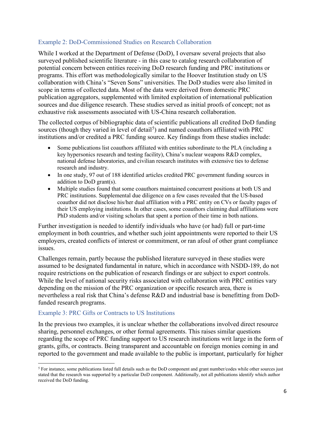#### <span id="page-6-0"></span>Example 2: DoD-Commissioned Studies on Research Collaboration

While I worked at the Department of Defense (DoD), I oversaw several projects that also surveyed published scientific literature - in this case to catalog research collaboration of potential concern between entities receiving DoD research funding and PRC institutions or programs. This effort was methodologically similar to the Hoover Institution study on US collaboration with China's "Seven Sons" universities. The DoD studies were also limited in scope in terms of collected data. Most of the data were derived from domestic PRC publication aggregators, supplemented with limited exploitation of international publication sources and due diligence research. These studies served as initial proofs of concept; not as exhaustive risk assessments associated with US-China research collaboration.

The collected corpus of bibliographic data of scientific publications all credited DoD funding sources (though they varied in level of detail<sup>[5](#page-6-2)</sup>) and named coauthors affiliated with PRC institutions and/or credited a PRC funding source. Key findings from these studies include:

- Some publications list coauthors affiliated with entities subordinate to the PLA (including a key hypersonics research and testing facility), China's nuclear weapons R&D complex, national defense laboratories, and civilian research institutes with extensive ties to defense research and industry.
- In one study, 97 out of 188 identified articles credited PRC government funding sources in addition to DoD grant(s).
- Multiple studies found that some coauthors maintained concurrent positions at both US and PRC institutions. Supplemental due diligence on a few cases revealed that the US-based coauthor did not disclose his/her dual affiliation with a PRC entity on CVs or faculty pages of their US employing institutions. In other cases, some coauthors claiming dual affiliations were PhD students and/or visiting scholars that spent a portion of their time in both nations.

Further investigation is needed to identify individuals who have (or had) full or part-time employment in both countries, and whether such joint appointments were reported to their US employers, created conflicts of interest or commitment, or ran afoul of other grant compliance issues.

Challenges remain, partly because the published literature surveyed in these studies were assumed to be designated fundamental in nature, which in accordance with NSDD-189, do not require restrictions on the publication of research findings or are subject to export controls. While the level of national security risks associated with collaboration with PRC entities vary depending on the mission of the PRC organization or specific research area, there is nevertheless a real risk that China's defense R&D and industrial base is benefitting from DoDfunded research programs.

### <span id="page-6-1"></span>Example 3: PRC Gifts or Contracts to US Institutions

In the previous two examples, it is unclear whether the collaborations involved direct resource sharing, personnel exchanges, or other formal agreements. This raises similar questions regarding the scope of PRC funding support to US research institutions writ large in the form of grants, gifts, or contracts. Being transparent and accountable on foreign monies coming in and reported to the government and made available to the public is important, particularly for higher

<span id="page-6-2"></span><sup>5</sup> For instance, some publications listed full details such as the DoD component and grant number/codes while other sources just stated that the research was supported by a particular DoD component. Additionally, not all publications identify which author received the DoD funding.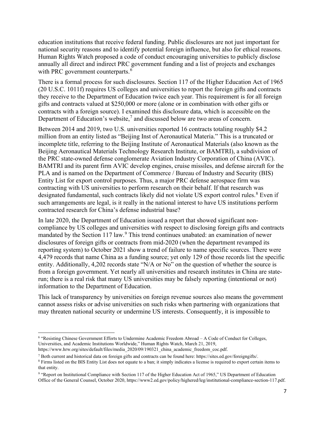education institutions that receive federal funding. Public disclosures are not just important for national security reasons and to identify potential foreign influence, but also for ethical reasons. Human Rights Watch proposed a code of conduct encouraging universities to publicly disclose annually all direct and indirect PRC government funding and a list of projects and exchanges with PRC government counterparts.<sup>[6](#page-7-0)</sup>

There is a formal process for such disclosures. Section 117 of the Higher Education Act of 1965 (20 U.S.C. 1011f) requires US colleges and universities to report the foreign gifts and contracts they receive to the Department of Education twice each year. This requirement is for all foreign gifts and contracts valued at \$250,000 or more (alone or in combination with other gifts or contracts with a foreign source). I examined this disclosure data, which is accessible on the Department of Education's website,<sup>[7](#page-7-1)</sup> and discussed below are two areas of concern.

Between 2014 and 2019, two U.S. universities reported 16 contracts totaling roughly \$4.2 million from an entity listed as "Beijing Inst of Aeronautical Materia." This is a truncated or incomplete title, referring to the Beijing Institute of Aeronautical Materials (also known as the Beijing Aeronautical Materials Technology Research Institute, or BAMTRI), a subdivision of the PRC state-owned defense conglomerate Aviation Industry Corporation of China (AVIC). BAMTRI and its parent firm AVIC develop engines, cruise missiles, and defense aircraft for the PLA and is named on the Department of Commerce / Bureau of Industry and Security (BIS) Entity List for export control purposes. Thus, a major PRC defense aerospace firm was contracting with US universities to perform research on their behalf. If that research was designated fundamental, such contracts likely did not violate US export control rules.<sup>[8](#page-7-2)</sup> Even if such arrangements are legal, is it really in the national interest to have US institutions perform contracted research for China's defense industrial base?

In late 2020, the Department of Education issued a report that showed significant noncompliance by US colleges and universities with respect to disclosing foreign gifts and contracts mandated by the Section 117 law.<sup>[9](#page-7-3)</sup> This trend continues unabated: an examination of newer disclosures of foreign gifts or contracts from mid-2020 (when the department revamped its reporting system) to October 2021 show a trend of failure to name specific sources. There were 4,479 records that name China as a funding source; yet only 129 of those records list the specific entity. Additionally, 4,202 records state "N/A or No" on the question of whether the source is from a foreign government. Yet nearly all universities and research institutes in China are staterun; there is a real risk that many US universities may be falsely reporting (intentional or not) information to the Department of Education.

This lack of transparency by universities on foreign revenue sources also means the government cannot assess risks or advise universities on such risks when partnering with organizations that may threaten national security or undermine US interests. Consequently, it is impossible to

<span id="page-7-0"></span><sup>6</sup> "Resisting Chinese Government Efforts to Undermine Academic Freedom Abroad – A Code of Conduct for Colleges, Universities, and Academic Institutions Worldwide," Human Rights Watch, March 21, 2019, https://www.hrw.org/sites/default/files/media\_2020/09/190321\_china\_academic\_freedom\_coc.pdf.

<span id="page-7-1"></span> $^7$  Both current and historical data on foreign gifts and contracts can be found here: https://sites.ed.gov/foreigngifts/.

<span id="page-7-2"></span><sup>&</sup>lt;sup>8</sup> Firms listed on the BIS Entity List does not equate to a ban; it simply indicates a license is required to export certain items to that entity.

<span id="page-7-3"></span><sup>9 &</sup>quot;Report on Institutional Compliance with Section 117 of the Higher Education Act of 1965," US Department of Education Office of the General Counsel, October 2020, https://www2.ed.gov/policy/highered/leg/institutional-compliance-section-117.pdf.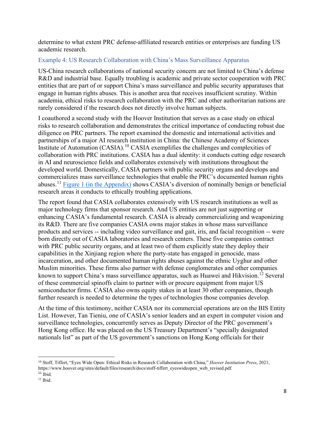determine to what extent PRC defense-affiliated research entities or enterprises are funding US academic research.

### <span id="page-8-0"></span>Example 4: US Research Collaboration with China's Mass Surveillance Apparatus

US-China research collaborations of national security concern are not limited to China's defense R&D and industrial base. Equally troubling is academic and private sector cooperation with PRC entities that are part of or support China's mass surveillance and public security apparatuses that engage in human rights abuses. This is another area that receives insufficient scrutiny. Within academia, ethical risks to research collaboration with the PRC and other authoritarian nations are rarely considered if the research does not directly involve human subjects.

I coauthored a second study with the Hoover Institution that serves as a case study on ethical risks to research collaboration and demonstrates the critical importance of conducting robust due diligence on PRC partners. The report examined the domestic and international activities and partnerships of a major AI research institution in China: the Chinese Academy of Sciences Institute of Automation (CASIA).<sup>[10](#page-8-1)</sup> CASIA exemplifies the challenges and complexities of collaboration with PRC institutions. CASIA has a dual identity: it conducts cutting edge research in AI and neuroscience fields and collaborates extensively with institutions throughout the developed world. Domestically, CASIA partners with public security organs and develops and commercializes mass surveillance technologies that enable the PRC's documented human rights abuses.[11](#page-8-2) Figure 1 (in [the Appendix\)](#page-24-0) shows CASIA's diversion of nominally benign or beneficial research areas it conducts to ethically troubling applications.

The report found that CASIA collaborates extensively with US research institutions as well as major technology firms that sponsor research. And US entities are not just supporting or enhancing CASIA's fundamental research. CASIA is already commercializing and weaponizing its R&D. There are five companies CASIA owns major stakes in whose mass surveillance products and services -- including video surveillance and gait, iris, and facial recognition -- were born directly out of CASIA laboratories and research centers. These five companies contract with PRC public security organs, and at least two of them explicitly state they deploy their capabilities in the Xinjiang region where the party-state has engaged in genocide, mass incarceration, and other documented human rights abuses against the ethnic Uyghur and other Muslim minorities. These firms also partner with defense conglomerates and other companies known to support China's mass surveillance apparatus, such as Huawei and Hikvision.<sup>[12](#page-8-3)</sup> Several of these commercial spinoffs claim to partner with or procure equipment from major US semiconductor firms. CASIA also owns equity stakes in at least 30 other companies, though further research is needed to determine the types of technologies those companies develop.

At the time of this testimony, neither CASIA nor its commercial operations are on the BIS Entity List. However, Tan Tieniu, one of CASIA's senior leaders and an expert in computer vision and surveillance technologies, concurrently serves as Deputy Director of the PRC government's Hong Kong office. He was placed on the US Treasury Department's "specially designated nationals list" as part of the US government's sanctions on Hong Kong officials for their

<span id="page-8-1"></span><sup>10</sup> Stoff, Tiffert, "Eyes Wide Open: Ethical Risks in Research Collaboration with China," *Hoover Institution Press*, 2021, https://www.hoover.org/sites/default/files/research/docs/stoff-tiffert\_eyeswideopen\_web\_revised.pdf.

<span id="page-8-2"></span> $11$  Ibid.

<span id="page-8-3"></span><sup>12</sup> Ibid.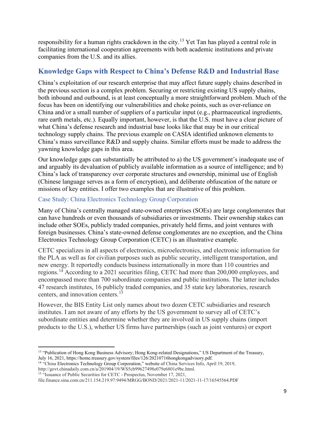responsibility for a human rights crackdown in the city.<sup>[13](#page-9-2)</sup> Yet Tan has played a central role in facilitating international cooperation agreements with both academic institutions and private companies from the U.S. and its allies.

## <span id="page-9-0"></span>**Knowledge Gaps with Respect to China's Defense R&D and Industrial Base**

China's exploitation of our research enterprise that may affect future supply chains described in the previous section is a complex problem. Securing or restricting existing US supply chains, both inbound and outbound, is at least conceptually a more straightforward problem. Much of the focus has been on identifying our vulnerabilities and choke points, such as over-reliance on China and/or a small number of suppliers of a particular input (e.g., pharmaceutical ingredients, rare earth metals, etc.). Equally important, however, is that the U.S. must have a clear picture of what China's defense research and industrial base looks like that may be in our critical technology supply chains. The previous example on CASIA identified unknown elements to China's mass surveillance R&D and supply chains. Similar efforts must be made to address the yawning knowledge gaps in this area.

Our knowledge gaps can substantially be attributed to a) the US government's inadequate use of and arguably its devaluation of publicly available information as a source of intelligence; and b) China's lack of transparency over corporate structures and ownership, minimal use of English (Chinese language serves as a form of encryption), and deliberate obfuscation of the nature or missions of key entities. I offer two examples that are illustrative of this problem.

### <span id="page-9-1"></span>Case Study: China Electronics Technology Group Corporation

Many of China's centrally managed state-owned enterprises (SOEs) are large conglomerates that can have hundreds or even thousands of subsidiaries or investments. Their ownership stakes can include other SOEs, publicly traded companies, privately held firms, and joint ventures with foreign businesses. China's state-owned defense conglomerates are no exception, and the China Electronics Technology Group Corporation (CETC) is an illustrative example.

CETC specializes in all aspects of electronics, microelectronics, and electronic information for the PLA as well as for civilian purposes such as public security, intelligent transportation, and new energy. It reportedly conducts business internationally in more than 110 countries and regions.[14](#page-9-3) According to a 2021 securities filing, CETC had more than 200,000 employees, and encompassed more than 700 subordinate companies and public institutions. The latter includes 47 research institutes, 16 publicly traded companies, and 35 state key laboratories, research centers, and innovation centers.<sup>[15](#page-9-4)</sup>

However, the BIS Entity List only names about two dozen CETC subsidiaries and research institutes. I am not aware of any efforts by the US government to survey all of CETC's subordinate entities and determine whether they are involved in US supply chains (import products to the U.S.), whether US firms have partnerships (such as joint ventures) or export

<span id="page-9-2"></span><sup>&</sup>lt;sup>13</sup> "Publication of Hong Kong Business Advisory; Hong Kong-related Designations," US Department of the Treasury, July 16, 2021, https://home.treasury.gov/system/files/126/20210716hongkongadvisory.pdf.

<span id="page-9-3"></span><sup>14</sup> "China Electronics Technology Group Corporation," website of China Services Info, April 19, 2019, http://govt.chinadaily.com.cn/a/201904/19/WS5cb99627498e079e6801e9bc.html.

<span id="page-9-4"></span><sup>&</sup>lt;sup>15</sup> "Issuance of Public Securities for CETC - Prospectus, November 17, 2021,

file.finance.sina.com.cn/211.154.219.97:9494/MRGG/BOND/2021/2021-11/2021-11-17/16545564.PDF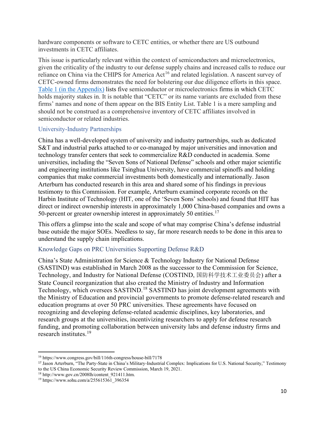hardware components or software to CETC entities, or whether there are US outbound investments in CETC affiliates.

This issue is particularly relevant within the context of semiconductors and microelectronics, given the criticality of the industry to our defense supply chains and increased calls to reduce our reliance on China via the CHIPS for America Act<sup>[16](#page-10-2)</sup> and related legislation. A nascent survey of CETC-owned firms demonstrates the need for bolstering our due diligence efforts in this space. [Table 1 \(in the Appendix\)](#page-23-1) lists five semiconductor or microelectronics firms in which CETC holds majority stakes in. It is notable that "CETC" or its name variants are excluded from these firms' names and none of them appear on the BIS Entity List. Table 1 is a mere sampling and should not be construed as a comprehensive inventory of CETC affiliates involved in semiconductor or related industries.

#### <span id="page-10-0"></span>University-Industry Partnerships

China has a well-developed system of university and industry partnerships, such as dedicated S&T and industrial parks attached to or co-managed by major universities and innovation and technology transfer centers that seek to commercialize R&D conducted in academia. Some universities, including the "Seven Sons of National Defense" schools and other major scientific and engineering institutions like Tsinghua University, have commercial spinoffs and holding companies that make commercial investments both domestically and internationally. Jason Arterburn has conducted research in this area and shared some of his findings in previous testimony to this Commission. For example, Arterburn examined corporate records on the Harbin Institute of Technology (HIT, one of the 'Seven Sons' schools) and found that HIT has direct or indirect ownership interests in approximately 1,000 China-based companies and owns a 50-percent or greater ownership interest in approximately 50 entities.<sup>[17](#page-10-3)</sup>

This offers a glimpse into the scale and scope of what may comprise China's defense industrial base outside the major SOEs. Needless to say, far more research needs to be done in this area to understand the supply chain implications.

### <span id="page-10-1"></span>Knowledge Gaps on PRC Universities Supporting Defense R&D

China's State Administration for Science & Technology Industry for National Defense (SASTIND) was established in March 2008 as the successor to the Commission for Science, Technology, and Industry for National Defense (COSTIND, 国防科学技术工业委员会) after a State Council reorganization that also created the Ministry of Industry and Information Technology, which oversees SASTIND.[18](#page-10-4) SASTIND has joint development agreements with the Ministry of Education and provincial governments to promote defense-related research and education programs at over 50 PRC universities. These agreements have focused on recognizing and developing defense-related academic disciplines, key laboratories, and research groups at the universities, incentivizing researchers to apply for defense research funding, and promoting collaboration between university labs and defense industry firms and research institutes.[19](#page-10-5)

<span id="page-10-2"></span><sup>16</sup> https://www.congress.gov/bill/116th-congress/house-bill/7178

<span id="page-10-3"></span><sup>17</sup> Jason Arterburn, "The Party-State in China's Military-Industrial Complex: Implications for U.S. National Security," Testimony to the US China Economic Security Review Commission, March 19, 2021.

<sup>18</sup> http://www.gov.cn/2008lh/content\_921411.htm.

<span id="page-10-5"></span><span id="page-10-4"></span><sup>19</sup> https://www.sohu.com/a/255615361\_396354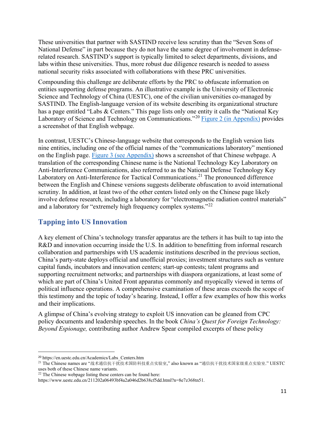These universities that partner with SASTIND receive less scrutiny than the "Seven Sons of National Defense" in part because they do not have the same degree of involvement in defenserelated research. SASTIND's support is typically limited to select departments, divisions, and labs within these universities. Thus, more robust due diligence research is needed to assess national security risks associated with collaborations with these PRC universities.

Compounding this challenge are deliberate efforts by the PRC to obfuscate information on entities supporting defense programs. An illustrative example is the University of Electronic Science and Technology of China (UESTC), one of the civilian universities co-managed by SASTIND. The English-language version of its website describing its organizational structure has a page entitled "Labs & Centers." This page lists only one entity it calls the "National Key Laboratory of Science and Technology on Communications."<sup>[20](#page-11-0)</sup> [Figure 2 \(in Appendix\)](#page-24-2) provides a screenshot of that English webpage.

In contrast, UESTC's Chinese-language website that corresponds to the English version lists nine entities, including one of the official names of the "communications laboratory" mentioned on the English page. [Figure 3 \(see Appendix\)](#page-25-0) shows a screenshot of that Chinese webpage. A translation of the corresponding Chinese name is the National Technology Key Laboratory on Anti-Interference Communications, also referred to as the National Defense Technology Key Laboratory on Anti-Interference for Tactical Communications.<sup>[21](#page-11-1)</sup> The pronounced difference between the English and Chinese versions suggests deliberate obfuscation to avoid international scrutiny. In addition, at least two of the other centers listed only on the Chinese page likely involve defense research, including a laboratory for "electromagnetic radiation control materials" and a laboratory for "extremely high frequency complex systems."<sup>[22](#page-11-2)</sup>

## **Tapping into US Innovation**

A key element of China's technology transfer apparatus are the tethers it has built to tap into the R&D and innovation occurring inside the U.S. In addition to benefitting from informal research collaboration and partnerships with US academic institutions described in the previous section, China's party-state deploys official and unofficial proxies; investment structures such as venture capital funds, incubators and innovation centers; start-up contests; talent programs and supporting recruitment networks; and partnerships with diaspora organizations, at least some of which are part of China's United Front apparatus commonly and myopically viewed in terms of political influence operations. A comprehensive examination of these areas exceeds the scope of this testimony and the topic of today's hearing. Instead, I offer a few examples of how this works and their implications.

A glimpse of China's evolving strategy to exploit US innovation can be gleaned from CPC policy documents and leadership speeches. In the book *China's Quest for Foreign Technology: Beyond Espionage,* contributing author Andrew Spear compiled excerpts of these policy

<span id="page-11-0"></span><sup>20</sup> https://en.uestc.edu.cn/Academics/Labs\_Centers.htm

<span id="page-11-1"></span><sup>21</sup> The Chinese names are "战术通信抗干扰技术国防科技重点实验室," also known as "通信抗干扰技术国家级重点实验室." UESTC uses both of these Chinese name variants.

<span id="page-11-2"></span> $22$  The Chinese webpage listing these centers can be found here:

https://www.uestc.edu.cn/211202a06493bf4a2a046d2b638cf5dd.html?n=8e7z368tn51.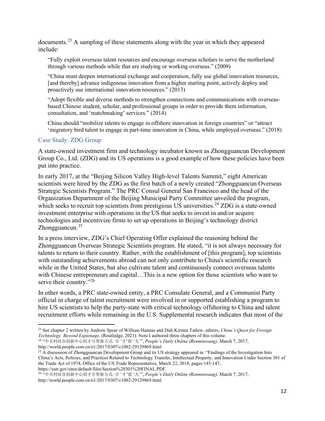documents.[23](#page-12-1) A sampling of these statements along with the year in which they appeared include:

"Fully exploit overseas talent resources and encourage overseas scholars to serve the motherland through various methods while that are studying or working overseas." (2009)

"China must deepen international exchange and cooperation, fully use global innovation resources, [and thereby] advance indigenous innovation from a higher starting point, actively deploy and proactively use international innovation resources." (2013)

"Adopt flexible and diverse methods to strengthen connections and communications with overseasbased Chinese student, scholar, and professional groups in order to provide them information, consultation, and 'matchmaking' services." (2014)

China should "mobilize talents to engage in offshore innovation in foreign countries" or "attract 'migratory bird talent to engage in part-time innovation in China, while employed overseas." (2018)

#### <span id="page-12-0"></span>Case Study: ZDG Group

A state-owned investment firm and technology incubator known as Zhongguancun Development Group Co., Ltd. (ZDG) and its US operations is a good example of how these policies have been put into practice.

In early 2017, at the "Beijing Silicon Valley High-level Talents Summit," eight American scientists were hired by the ZDG as the first batch of a newly created "Zhongguancun Overseas Strategic Scientists Program." The PRC Consul General San Francisco and the head of the Organization Department of the Beijing Municipal Party Committee unveiled the program, which seeks to recruit top scientists from prestigious US universities.<sup>[24](#page-12-2)</sup> ZDG is a state-owned investment enterprise with operations in the US that seeks to invest in and/or acquire technologies and incentivize firms to set up operations in Beijing's technology district Zhongguancun. $25$ 

In a press interview, ZDG's Chief Operating Offer explained the reasoning behind the Zhongguancun Overseas Strategic Scientists program. He stated, "it is not always necessary for talents to return to their country. Rather, with the establishment of [this program], top scientists with outstanding achievements abroad can not only contribute to China's scientific research while in the United States, but also cultivate talent and continuously connect overseas talents with Chinese entrepreneurs and capital...This is a new option for those scientists who want to serve their country."<sup>[26](#page-12-4)</sup>

In other words, a PRC state-owned entity, a PRC Consulate General, and a Communist Party official in charge of talent recruitment were involved in or supported establishing a program to hire US scientists to help the party-state with critical technology offshoring to China and talent recruitment efforts while remaining in the U.S. Supplemental research indicates that most of the

<span id="page-12-2"></span><sup>24</sup> "中关村硅谷创新中心招才引智新方式: 引 '才'留 '人'", *People's Daily Online (Renminwang),* March 7, 2017, http://world.people.com.cn/n1/2017/0307/c1002-29129869.html.

https://ustr.gov/sites/default/files/Section%20301%20FINAL.PDF.

<span id="page-12-1"></span><sup>23</sup> See chapter 2 written by Andrew Spear of William Hannas and Didi Kirsten Tatlow, editors, *China's Quest for Foreign Technology: Beyond Espionage,* (Routledge, 2021). Note I authored three chapters of this volume.

<span id="page-12-3"></span> $^{25}$  A discussion of Zhongguancun Development Group and its US strategy appeared in: "Findings of the Investigation Into China's Acts, Policies, and Practices Related to Technology Transfer, Intellectual Property, and Innovation Under Section 301 of the Trade Act of 1974, Office of the US Trade Representative, March 22, 2018, pages 145-147,

<span id="page-12-4"></span><sup>26</sup> "中关村硅谷创新中心招才引智新方式: 引 '才'留 '人'", *People's Daily Online (Renminwang),* March 7, 2017, http://world.people.com.cn/n1/2017/0307/c1002-29129869.html.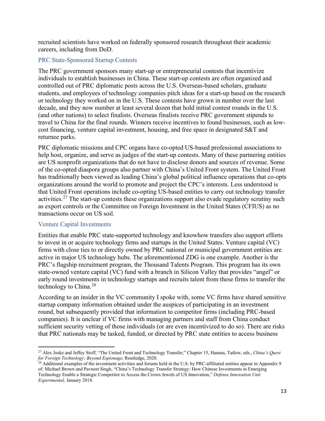recruited scientists have worked on federally sponsored research throughout their academic careers, including from DoD.

#### <span id="page-13-0"></span>PRC State-Sponsored Startup Contests

The PRC government sponsors many start-up or entrepreneurial contests that incentivize individuals to establish businesses in China. These start-up contests are often organized and controlled out of PRC diplomatic posts across the U.S. Overseas-based scholars, graduate students, and employees of technology companies pitch ideas for a start-up based on the research or technology they worked on in the U.S. These contests have grown in number over the last decade, and they now number at least several dozen that hold initial contest rounds in the U.S. (and other nations) to select finalists. Overseas finalists receive PRC government stipends to travel to China for the final rounds. Winners receive incentives to found businesses, such as lowcost financing, venture capital investment, housing, and free space in designated S&T and returnee parks.

PRC diplomatic missions and CPC organs have co-opted US-based professional associations to help host, organize, and serve as judges of the start-up contests. Many of these partnering entities are US nonprofit organizations that do not have to disclose donors and sources of revenue. Some of the co-opted diaspora groups also partner with China's United Front system. The United Front has traditionally been viewed as leading China's global political influence operations that co-opts organizations around the world to promote and project the CPC's interests. Less understood is that United Front operations include co-opting US-based entities to carry out technology transfer activities.<sup>[27](#page-13-2)</sup> The start-up contests these organizations support also evade regulatory scrutiny such as export controls or the Committee on Foreign Investment in the United States (CFIUS) as no transactions occur on US soil.

#### <span id="page-13-1"></span>Venture Capital Investments

Entities that enable PRC state-supported technology and knowhow transfers also support efforts to invest in or acquire technology firms and startups in the United States. Venture capital (VC) firms with close ties to or directly owned by PRC national or municipal government entities are active in major US technology hubs. The aforementioned ZDG is one example. Another is the PRC's flagship recruitment program, the Thousand Talents Program. This program has its own state-owned venture capital (VC) fund with a branch in Silicon Valley that provides "angel" or early round investments in technology startups and recruits talent from these firms to transfer the technology to China.<sup>[28](#page-13-3)</sup>

According to an insider in the VC community I spoke with, some VC firms have shared sensitive startup company information obtained under the auspices of participating in an investment round, but subsequently provided that information to competitor firms (including PRC-based companies). It is unclear if VC firms with managing partners and staff from China conduct sufficient security vetting of those individuals (or are even incentivized to do so). There are risks that PRC nationals may be tasked, funded, or directed by PRC state entities to access business

<span id="page-13-2"></span><sup>27</sup> Alex Joske and Jeffey Stoff, "The United Front and Technology Transfer," Chapter 15, Hannas, Tatlow, eds., *China's Quest for Foreign Technology: Beyond Espionage*, Routledge, 2020.

<span id="page-13-3"></span><sup>&</sup>lt;sup>28</sup> Additional examples of the investment activities and forums held in the U.S. by PRC-affiliated entities appear in Appendix 9 of: Michael Brown and Pavneet Singh, "China's Technology Transfer Strategy: How Chinese Investments in Emerging Technology Enable a Strategic Competitor to Access the Crown Jewels of US Innovation," *Defense Innovation Unit Experimental,* January 2018.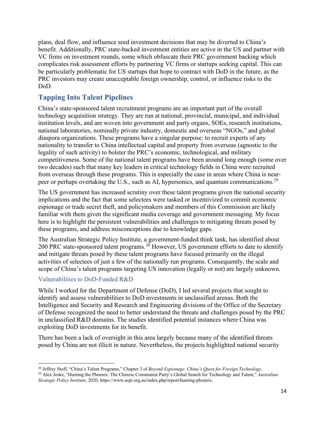plans, deal flow, and influence seed investment decisions that may be diverted to China's benefit. Additionally, PRC state-backed investment entities are active in the US and partner with VC firms on investment rounds, some which obfuscate their PRC government backing which complicates risk assessment efforts by partnering VC firms or startups seeking capital. This can be particularly problematic for US startups that hope to contract with DoD in the future, as the PRC investors may create unacceptable foreign ownership, control, or influence risks to the DoD.

# <span id="page-14-0"></span>**Tapping Into Talent Pipelines**

China's state-sponsored talent recruitment programs are an important part of the overall technology acquisition strategy. They are run at national, provincial, municipal, and individual institution levels, and are woven into government and party organs, SOEs, research institutions, national laboratories, nominally private industry, domestic and overseas "NGOs," and global diaspora organizations. These programs have a singular purpose: to recruit experts of any nationality to transfer to China intellectual capital and property from overseas (agnostic to the legality of such activity) to bolster the PRC's economic, technological, and military competitiveness. Some of the national talent programs have been around long enough (some over two decades) such that many key leaders in critical technology fields in China were recruited from overseas through these programs. This is especially the case in areas where China is near-peer or perhaps overtaking the U.S., such as AI, hypersonics, and quantum communications.<sup>[29](#page-14-2)</sup>

The US government has increased scrutiny over these talent programs given the national security implications and the fact that some selectees were tasked or incentivized to commit economic espionage or trade secret theft, and policymakers and members of this Commission are likely familiar with them given the significant media coverage and government messaging. My focus here is to highlight the persistent vulnerabilities and challenges to mitigating threats posed by these programs, and address misconceptions due to knowledge gaps.

The Australian Strategic Policy Institute, a government-funded think tank, has identified about 200 PRC state-sponsored talent programs.<sup>[30](#page-14-3)</sup> However, US government efforts to date to identify and mitigate threats posed by these talent programs have focused primarily on the illegal activities of selectees of just a few of the nationally run programs. Consequently, the scale and scope of China's talent programs targeting US innovation (legally or not) are largely unknown.

## <span id="page-14-1"></span>Vulnerabilities to DoD-Funded R&D

While I worked for the Department of Defense (DoD), I led several projects that sought to identify and assess vulnerabilities to DoD investments in unclassified arenas. Both the Intelligence and Security and Research and Engineering divisions of the Office of the Secretary of Defense recognized the need to better understand the threats and challenges posed by the PRC in unclassified R&D domains. The studies identified potential instances where China was exploiting DoD investments for its benefit.

There has been a lack of oversight in this area largely because many of the identified threats posed by China are not illicit in nature. Nevertheless, the projects highlighted national security

<span id="page-14-2"></span><sup>29</sup> Jeffrey Stoff, "China's Talent Programs," Chapter 3 of *Beyond Espionage: China's Quest for Foreign Technology*.

<span id="page-14-3"></span><sup>30</sup> Alex Joske, "Hunting the Phoenix: The Chinese Communist Party's Global Search for Technology and Talent," *Australian Strategic Policy Institute,* 2020, https://www.aspi.org.au/index.php/report/hunting-phoenix.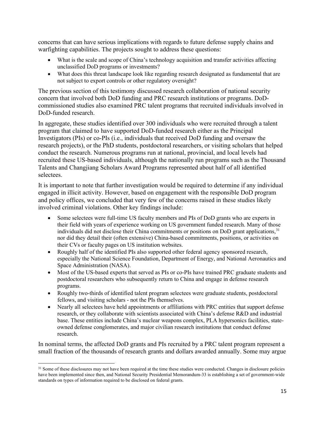concerns that can have serious implications with regards to future defense supply chains and warfighting capabilities. The projects sought to address these questions:

- What is the scale and scope of China's technology acquisition and transfer activities affecting unclassified DoD programs or investments?
- What does this threat landscape look like regarding research designated as fundamental that are not subject to export controls or other regulatory oversight?

The previous section of this testimony discussed research collaboration of national security concern that involved both DoD funding and PRC research institutions or programs. DoDcommissioned studies also examined PRC talent programs that recruited individuals involved in DoD-funded research.

In aggregate, these studies identified over 300 individuals who were recruited through a talent program that claimed to have supported DoD-funded research either as the Principal Investigators (PIs) or co-PIs (i.e., individuals that received DoD funding and oversaw the research projects), or the PhD students, postdoctoral researchers, or visiting scholars that helped conduct the research. Numerous programs run at national, provincial, and local levels had recruited these US-based individuals, although the nationally run programs such as the Thousand Talents and Changjiang Scholars Award Programs represented about half of all identified selectees.

It is important to note that further investigation would be required to determine if any individual engaged in illicit activity. However, based on engagement with the responsible DoD program and policy offices, we concluded that very few of the concerns raised in these studies likely involved criminal violations. Other key findings include:

- Some selectees were full-time US faculty members and PIs of DoD grants who are experts in their field with years of experience working on US government funded research. Many of those individuals did not disclose their China commitments or positions on DoD grant applications,<sup>[31](#page-15-0)</sup> nor did they detail their (often extensive) China-based commitments, positions, or activities on their CVs or faculty pages on US institution websites.
- Roughly half of the identified PIs also supported other federal agency sponsored research, especially the National Science Foundation, Department of Energy, and National Aeronautics and Space Administration (NASA).
- Most of the US-based experts that served as PIs or co-PIs have trained PRC graduate students and postdoctoral researchers who subsequently return to China and engage in defense research programs.
- Roughly two-thirds of identified talent program selectees were graduate students, postdoctoral fellows, and visiting scholars - not the PIs themselves.
- Nearly all selectees have held appointments or affiliations with PRC entities that support defense research, or they collaborate with scientists associated with China's defense R&D and industrial base. These entities include China's nuclear weapons complex, PLA hypersonics facilities, stateowned defense conglomerates, and major civilian research institutions that conduct defense research.

In nominal terms, the affected DoD grants and PIs recruited by a PRC talent program represent a small fraction of the thousands of research grants and dollars awarded annually. Some may argue

<span id="page-15-0"></span><sup>&</sup>lt;sup>31</sup> Some of these disclosures may not have been required at the time these studies were conducted. Changes in disclosure policies have been implemented since then, and National Security Presidential Memorandum-33 is establishing a set of government-wide standards on types of information required to be disclosed on federal grants.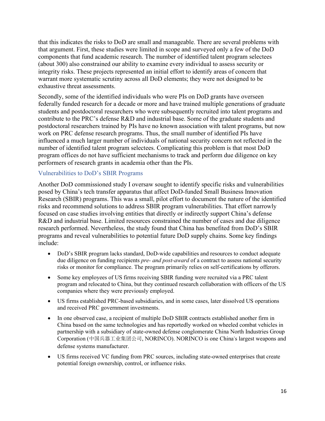that this indicates the risks to DoD are small and manageable. There are several problems with that argument. First, these studies were limited in scope and surveyed only a few of the DoD components that fund academic research. The number of identified talent program selectees (about 300) also constrained our ability to examine every individual to assess security or integrity risks. These projects represented an initial effort to identify areas of concern that warrant more systematic scrutiny across all DoD elements; they were not designed to be exhaustive threat assessments.

Secondly, some of the identified individuals who were PIs on DoD grants have overseen federally funded research for a decade or more and have trained multiple generations of graduate students and postdoctoral researchers who were subsequently recruited into talent programs and contribute to the PRC's defense R&D and industrial base. Some of the graduate students and postdoctoral researchers trained by PIs have no known association with talent programs, but now work on PRC defense research programs. Thus, the small number of identified PIs have influenced a much larger number of individuals of national security concern not reflected in the number of identified talent program selectees. Complicating this problem is that most DoD program offices do not have sufficient mechanisms to track and perform due diligence on key performers of research grants in academia other than the PIs.

#### <span id="page-16-0"></span>Vulnerabilities to DoD's SBIR Programs

Another DoD commissioned study I oversaw sought to identify specific risks and vulnerabilities posed by China's tech transfer apparatus that affect DoD-funded Small Business Innovation Research (SBIR) programs. This was a small, pilot effort to document the nature of the identified risks and recommend solutions to address SBIR program vulnerabilities. That effort narrowly focused on case studies involving entities that directly or indirectly support China's defense R&D and industrial base. Limited resources constrained the number of cases and due diligence research performed. Nevertheless, the study found that China has benefited from DoD's SBIR programs and reveal vulnerabilities to potential future DoD supply chains. Some key findings include:

- DoD's SBIR program lacks standard, DoD-wide capabilities and resources to conduct adequate due diligence on funding recipients *pre- and post-award* of a contract to assess national security risks or monitor for compliance. The program primarily relies on self-certifications by offerors.
- Some key employees of US firms receiving SBIR funding were recruited via a PRC talent program and relocated to China, but they continued research collaboration with officers of the US companies where they were previously employed.
- US firms established PRC-based subsidiaries, and in some cases, later dissolved US operations and received PRC government investments.
- In one observed case, a recipient of multiple DoD SBIR contracts established another firm in China based on the same technologies and has reportedly worked on wheeled combat vehicles in partnership with a subsidiary of state-owned defense conglomerate China North Industries Group Corporation (中国兵器工业集团公司, NORINCO). NORINCO is one China's largest weapons and defense systems manufacturer.
- US firms received VC funding from PRC sources, including state-owned enterprises that create potential foreign ownership, control, or influence risks.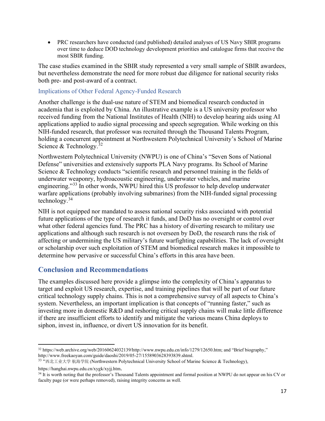• PRC researchers have conducted (and published) detailed analyses of US Navy SBIR programs over time to deduce DOD technology development priorities and catalogue firms that receive the most SBIR funding.

The case studies examined in the SBIR study represented a very small sample of SBIR awardees, but nevertheless demonstrate the need for more robust due diligence for national security risks both pre- and post-award of a contract.

#### <span id="page-17-0"></span>Implications of Other Federal Agency-Funded Research

Another challenge is the dual-use nature of STEM and biomedical research conducted in academia that is exploited by China. An illustrative example is a US university professor who received funding from the National Institutes of Health (NIH) to develop hearing aids using AI applications applied to audio signal processing and speech segregation. While working on this NIH-funded research, that professor was recruited through the Thousand Talents Program, holding a concurrent appointment at Northwestern Polytechnical University's School of Marine Science & Technology.<sup>[32](#page-17-2)</sup>

Northwestern Polytechnical University (NWPU) is one of China's "Seven Sons of National Defense" universities and extensively supports PLA Navy programs. Its School of Marine Science & Technology conducts "scientific research and personnel training in the fields of underwater weaponry, hydroacoustic engineering, underwater vehicles, and marine engineering."[33](#page-17-3) In other words, NWPU hired this US professor to help develop underwater warfare applications (probably involving submarines) from the NIH-funded signal processing technology. $34$ 

NIH is not equipped nor mandated to assess national security risks associated with potential future applications of the type of research it funds, and DoD has no oversight or control over what other federal agencies fund. The PRC has a history of diverting research to military use applications and although such research is not overseen by DoD, the research runs the risk of affecting or undermining the US military's future warfighting capabilities. The lack of oversight or scholarship over such exploitation of STEM and biomedical research makes it impossible to determine how pervasive or successful China's efforts in this area have been.

## <span id="page-17-1"></span>**Conclusion and Recommendations**

The examples discussed here provide a glimpse into the complexity of China's apparatus to target and exploit US research, expertise, and training pipelines that will be part of our future critical technology supply chains. This is not a comprehensive survey of all aspects to China's system. Nevertheless, an important implication is that concepts of "running faster," such as investing more in domestic R&D and reshoring critical supply chains will make little difference if there are insufficient efforts to identify and mitigate the various means China deploys to siphon, invest in, influence, or divert US innovation for its benefit.

<span id="page-17-2"></span><sup>&</sup>lt;sup>32</sup> https://web.archive.org/web/20160624032139/http://www.nwpu.edu.cn/info/1279/12650.htm; and "Brief biography,"<br>http://www.freekaoyan.com/guide/daoshi/2019/05-27/1558903628393839.shtml.

<span id="page-17-3"></span><sup>33 &</sup>quot;西北工业大学 航海学院 (Northwestern Polytechnical University School of Marine Science & Technology),

https://hanghai.nwpu.edu.cn/xygk/xyjj.htm.

<span id="page-17-4"></span><sup>34</sup> It is worth noting that the professor's Thousand Talents appointment and formal position at NWPU do not appear on his CV or faculty page (or were perhaps removed), raising integrity concerns as well.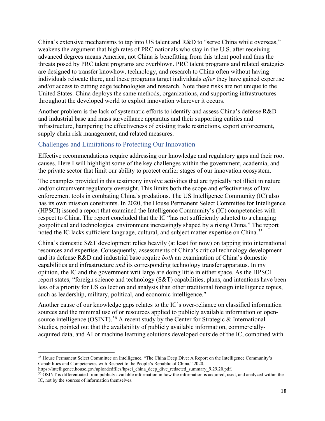China's extensive mechanisms to tap into US talent and R&D to "serve China while overseas," weakens the argument that high rates of PRC nationals who stay in the U.S. after receiving advanced degrees means America, not China is benefitting from this talent pool and thus the threats posed by PRC talent programs are overblown. PRC talent programs and related strategies are designed to transfer knowhow, technology, and research to China often without having individuals relocate there, and these programs target individuals *after* they have gained expertise and/or access to cutting edge technologies and research. Note these risks are not unique to the United States. China deploys the same methods, organizations, and supporting infrastructures throughout the developed world to exploit innovation wherever it occurs.

Another problem is the lack of systematic efforts to identify and assess China's defense R&D and industrial base and mass surveillance apparatus and their supporting entities and infrastructure, hampering the effectiveness of existing trade restrictions, export enforcement, supply chain risk management, and related measures.

## <span id="page-18-0"></span>Challenges and Limitations to Protecting Our Innovation

Effective recommendations require addressing our knowledge and regulatory gaps and their root causes. Here I will highlight some of the key challenges within the government, academia, and the private sector that limit our ability to protect earlier stages of our innovation ecosystem.

The examples provided in this testimony involve activities that are typically not illicit in nature and/or circumvent regulatory oversight. This limits both the scope and effectiveness of law enforcement tools in combating China's predations. The US Intelligence Community (IC) also has its own mission constraints. In 2020, the House Permanent Select Committee for Intelligence (HPSCI) issued a report that examined the Intelligence Community's (IC) competencies with respect to China. The report concluded that the IC "has not sufficiently adapted to a changing geopolitical and technological environment increasingly shaped by a rising China." The report noted the IC lacks sufficient language, cultural, and subject matter expertise on China.<sup>[35](#page-18-1)</sup>

China's domestic S&T development relies heavily (at least for now) on tapping into international resources and expertise. Consequently, assessments of China's critical technology development and its defense R&D and industrial base require *both* an examination of China's domestic capabilities and infrastructure *and* its corresponding technology transfer apparatus. In my opinion, the IC and the government writ large are doing little in either space. As the HPSCI report states, "foreign science and technology (S&T) capabilities, plans, and intentions have been less of a priority for US collection and analysis than other traditional foreign intelligence topics, such as leadership, military, political, and economic intelligence."

Another cause of our knowledge gaps relates to the IC's over-reliance on classified information sources and the minimal use of or resources applied to publicly available information or open-source intelligence (OSINT).<sup>[36](#page-18-2)</sup> A recent study by the Center for Strategic & International Studies, pointed out that the availability of publicly available information, commerciallyacquired data, and AI or machine learning solutions developed outside of the IC, combined with

<span id="page-18-1"></span><sup>35</sup> House Permanent Select Committee on Intelligence, "The China Deep Dive: A Report on the Intelligence Community's Capabilities and Competencies with Respect to the People's Republic of China," 2020,

https://intelligence.house.gov/uploadedfiles/hpsci\_china\_deep\_dive\_redacted\_summary\_9.29.20.pdf.

<span id="page-18-2"></span><sup>36</sup> OSINT is differentiated from publicly available information in how the information is acquired, used, and analyzed within the IC, not by the sources of information themselves.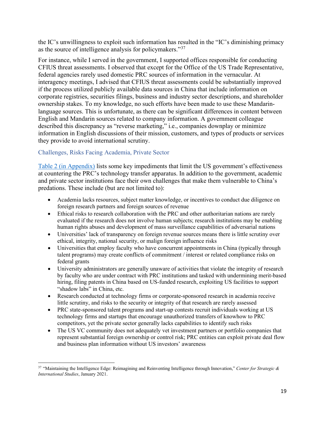the IC's unwillingness to exploit such information has resulted in the "IC's diminishing primacy as the source of intelligence analysis for policymakers."<sup>[37](#page-19-1)</sup>

For instance, while I served in the government, I supported offices responsible for conducting CFIUS threat assessments. I observed that except for the Office of the US Trade Representative, federal agencies rarely used domestic PRC sources of information in the vernacular. At interagency meetings, I advised that CFIUS threat assessments could be substantially improved if the process utilized publicly available data sources in China that include information on corporate registries, securities filings, business and industry sector descriptions, and shareholder ownership stakes. To my knowledge, no such efforts have been made to use these Mandarinlanguage sources. This is unfortunate, as there can be significant differences in content between English and Mandarin sources related to company information. A government colleague described this discrepancy as "reverse marketing," i.e., companies downplay or minimize information in English discussions of their mission, customers, and types of products or services they provide to avoid international scrutiny.

### <span id="page-19-0"></span>Challenges, Risks Facing Academia, Private Sector

[Table 2 \(in](#page-25-2) Appendix) lists some key impediments that limit the US government's effectiveness at countering the PRC's technology transfer apparatus. In addition to the government, academic and private sector institutions face their own challenges that make them vulnerable to China's predations. These include (but are not limited to):

- Academia lacks resources, subject matter knowledge, or incentives to conduct due diligence on foreign research partners and foreign sources of revenue
- Ethical risks to research collaboration with the PRC and other authoritarian nations are rarely evaluated if the research does not involve human subjects; research institutions may be enabling human rights abuses and development of mass surveillance capabilities of adversarial nations
- Universities' lack of transparency on foreign revenue sources means there is little scrutiny over ethical, integrity, national security, or malign foreign influence risks
- Universities that employ faculty who have concurrent appointments in China (typically through talent programs) may create conflicts of commitment / interest or related compliance risks on federal grants
- University administrators are generally unaware of activities that violate the integrity of research by faculty who are under contract with PRC institutions and tasked with undermining merit-based hiring, filing patents in China based on US-funded research, exploiting US facilities to support "shadow labs" in China, etc.
- Research conducted at technology firms or corporate-sponsored research in academia receive little scrutiny, and risks to the security or integrity of that research are rarely assessed
- PRC state-sponsored talent programs and start-up contests recruit individuals working at US technology firms and startups that encourage unauthorized transfers of knowhow to PRC competitors, yet the private sector generally lacks capabilities to identify such risks
- The US VC community does not adequately vet investment partners or portfolio companies that represent substantial foreign ownership or control risk; PRC entities can exploit private deal flow and business plan information without US investors' awareness

<span id="page-19-1"></span><sup>37</sup> "Maintaining the Intelligence Edge: Reimagining and Reinventing Intelligence through Innovation," *Center for Strategic & International Studies*, January 2021.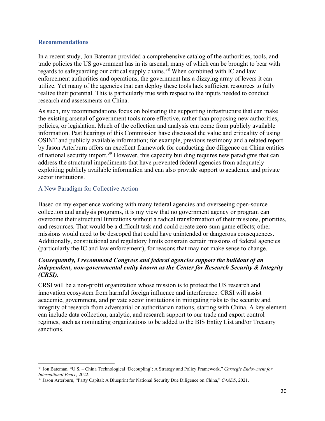#### <span id="page-20-0"></span>**Recommendations**

In a recent study, Jon Bateman provided a comprehensive catalog of the authorities, tools, and trade policies the US government has in its arsenal, many of which can be brought to bear with regards to safeguarding our critical supply chains.<sup>[38](#page-20-2)</sup> When combined with IC and law enforcement authorities and operations, the government has a dizzying array of levers it can utilize. Yet many of the agencies that can deploy these tools lack sufficient resources to fully realize their potential. This is particularly true with respect to the inputs needed to conduct research and assessments on China.

As such, my recommendations focus on bolstering the supporting infrastructure that can make the existing arsenal of government tools more effective, rather than proposing new authorities, policies, or legislation. Much of the collection and analysis can come from publicly available information. Past hearings of this Commission have discussed the value and criticality of using OSINT and publicly available information; for example, previous testimony and a related report by Jason Arterburn offers an excellent framework for conducting due diligence on China entities of national security import.<sup>[39](#page-20-3)</sup> However, this capacity building requires new paradigms that can address the structural impediments that have prevented federal agencies from adequately exploiting publicly available information and can also provide support to academic and private sector institutions.

### <span id="page-20-1"></span>A New Paradigm for Collective Action

Based on my experience working with many federal agencies and overseeing open-source collection and analysis programs, it is my view that no government agency or program can overcome their structural limitations without a radical transformation of their missions, priorities, and resources. That would be a difficult task and could create zero-sum game effects; other missions would need to be descoped that could have unintended or dangerous consequences. Additionally, constitutional and regulatory limits constrain certain missions of federal agencies (particularly the IC and law enforcement), for reasons that may not make sense to change.

#### *Consequently, I recommend Congress and federal agencies support the buildout of an independent, non-governmental entity known as the Center for Research Security & Integrity (CRSI).*

CRSI will be a non-profit organization whose mission is to protect the US research and innovation ecosystem from harmful foreign influence and interference. CRSI will assist academic, government, and private sector institutions in mitigating risks to the security and integrity of research from adversarial or authoritarian nations, starting with China. A key element can include data collection, analytic, and research support to our trade and export control regimes, such as nominating organizations to be added to the BIS Entity List and/or Treasury sanctions.

<span id="page-20-2"></span><sup>38</sup> Jon Bateman, "U.S. – China Technological 'Decoupling': A Strategy and Policy Framework," *Carnegie Endowment for International Peace,* 2022.

<span id="page-20-3"></span><sup>39</sup> Jason Arterburn, "Party Capital: A Blueprint for National Security Due Diligence on China," *C4ADS*, 2021.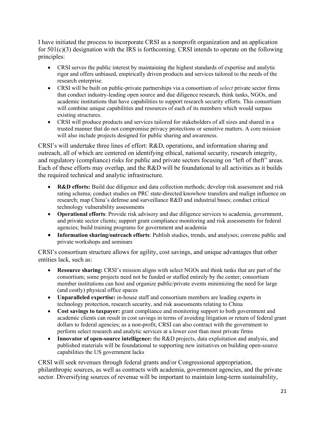I have initiated the process to incorporate CRSI as a nonprofit organization and an application for 501(c)(3) designation with the IRS is forthcoming. CRSI intends to operate on the following principles:

- CRSI serves the public interest by maintaining the highest standards of expertise and analytic rigor and offers unbiased, empirically driven products and services tailored to the needs of the research enterprise.
- CRSI will be built on public-private partnerships via a consortium of *select* private sector firms that conduct industry-leading open source and due diligence research, think tanks, NGOs, and academic institutions that have capabilities to support research security efforts. This consortium will combine unique capabilities and resources of each of its members which would surpass existing structures.
- CRSI will produce products and services tailored for stakeholders of all sizes and shared in a trusted manner that do not compromise privacy protections or sensitive matters. A core mission will also include projects designed for public sharing and awareness.

CRSI's will undertake three lines of effort: R&D, operations, and information sharing and outreach, all of which are centered on identifying ethical, national security, research integrity, and regulatory (compliance) risks for public and private sectors focusing on "left of theft" areas. Each of these efforts may overlap, and the R&D will be foundational to all activities as it builds the required technical and analytic infrastructure.

- **R&D** efforts: Build due diligence and data collection methods; develop risk assessment and risk rating schema; conduct studies on PRC state-directed knowhow transfers and malign influence on research; map China's defense and surveillance R&D and industrial bases; conduct critical technology vulnerability assessments
- **Operational efforts**: Provide risk advisory and due diligence services to academia, government, and private sector clients; support grant compliance monitoring and risk assessments for federal agencies; build training programs for government and academia
- **Information sharing/outreach efforts**: Publish studies, trends, and analyses; convene public and private workshops and seminars

CRSI's consortium structure allows for agility, cost savings, and unique advantages that other entities lack, such as:

- **Resource sharing:** CRSI's mission aligns with select NGOs and think tanks that are part of the consortium; some projects need not be funded or staffed entirely by the center; consortium member institutions can host and organize public/private events minimizing the need for large (and costly) physical office spaces
- **Unparalleled expertise:** in-house staff and consortium members are leading experts in technology protection, research security, and risk assessments relating to China
- **Cost savings to taxpayer:** grant compliance and monitoring support to both government and academic clients can result in cost savings in terms of avoiding litigation or return of federal grant dollars to federal agencies; as a non-profit, CRSI can also contract with the government to perform select research and analytic services at a lower cost than most private firms
- **Innovator of open-source intelligence:** the R&D projects, data exploitation and analysis, and published materials will be foundational to supporting new initiatives on building open-source capabilities the US government lacks

CRSI will seek revenues through federal grants and/or Congressional appropriation, philanthropic sources, as well as contracts with academia, government agencies, and the private sector. Diversifying sources of revenue will be important to maintain long-term sustainability,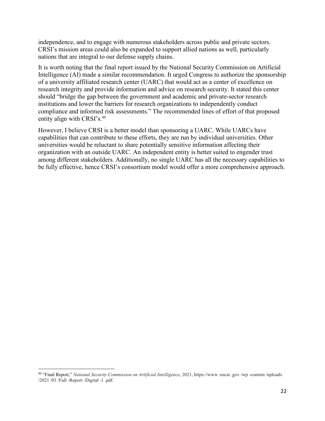independence, and to engage with numerous stakeholders across public and private sectors. CRSI's mission areas could also be expanded to support allied nations as well, particularly nations that are integral to our defense supply chains.

It is worth noting that the final report issued by the National Security Commission on Artificial Intelligence (AI) made a similar recommendation. It urged Congress to authorize the sponsorship of a university affiliated research center (UARC) that would act as a center of excellence on research integrity and provide information and advice on research security. It stated this center should "bridge the gap between the government and academic and private-sector research institutions and lower the barriers for research organizations to independently conduct compliance and informed risk assessments." The recommended lines of effort of that proposed entity align with CRSI's.<sup>[40](#page-22-0)</sup>

However, I believe CRSI is a better model than sponsoring a UARC. While UARCs have capabilities that can contribute to these efforts, they are run by individual universities. Other universities would be reluctant to share potentially sensitive information affecting their organization with an outside UARC. An independent entity is better suited to engender trust among different stakeholders. Additionally, no single UARC has all the necessary capabilities to be fully effective, hence CRSI's consortium model would offer a more comprehensive approach.

<span id="page-22-0"></span><sup>40</sup> "Final Report," *National Security Commission on Artificial Intelligence*, 2021, https://www .nscai .gov /wp -content /uploads /2021 /03 /Full -Report -Digital -1 .pdf.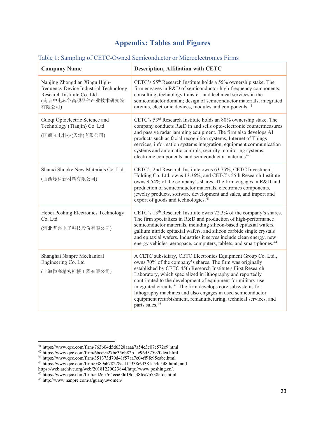# **Appendix: Tables and Figures**

| <b>Company Name</b>                                                                                                                   | <b>Description, Affiliation with CETC</b>                                                                                                                                                                                                                                                                                                                                                                                                                                                                                                                               |
|---------------------------------------------------------------------------------------------------------------------------------------|-------------------------------------------------------------------------------------------------------------------------------------------------------------------------------------------------------------------------------------------------------------------------------------------------------------------------------------------------------------------------------------------------------------------------------------------------------------------------------------------------------------------------------------------------------------------------|
| Nanjing Zhongdian Xingu High-<br>frequency Device Industrial Technology<br>Research Institute Co. Ltd.<br>(南京中电芯谷高频器件产业技术研究院<br>有限公司) | CETC's 55 <sup>th</sup> Research Institute holds a 55% ownership stake. The<br>firm engages in R&D of semiconductor high-frequency components;<br>consulting, technology transfer, and technical services in the<br>semiconductor domain; design of semiconductor materials, integrated<br>circuits, electronic devices, modules and components. <sup>41</sup>                                                                                                                                                                                                          |
| Guoqi Optoelectric Science and<br>Technology (Tianjin) Co. Ltd<br>(国麒光电科技(天津)有限公司)                                                    | CETC's 53 <sup>rd</sup> Research Institute holds an 80% ownership stake. The<br>company conducts R&D in and sells opto-electronic countermeasures<br>and passive radar jamming equipment. The firm also develops AI<br>products such as facial recognition systems, Internet of Things<br>services, information systems integration, equipment communication<br>systems and automatic controls, security monitoring systems,<br>electronic components, and semiconductor materials <sup>42</sup>                                                                        |
| Shanxi Shuoke New Materials Co. Ltd.<br>(山西烁科新材料有限公司)                                                                                 | CETC's 2nd Research Institute owns 63.75%, CETC Investment<br>Holding Co. Ltd. owns 13.36%, and CETC's 55th Research Institute<br>owns 9.54% of the company's shares. The firm engages in R&D and<br>production of semiconductor materials, electronics components,<br>jewelry products, software development and sales, and import and<br>export of goods and technologies. <sup>43</sup>                                                                                                                                                                              |
| Hebei Poshing Electronics Technology<br>Co. Ltd<br>(河北普兴电子科技股份有限公司)                                                                   | CETC's 13 <sup>th</sup> Research Institute owns 72.3% of the company's shares.<br>The firm specializes in R&D and production of high-performance<br>semiconductor materials, including silicon-based epitaxial wafers,<br>gallium nitride epitaxial wafers, and silicon carbide single crystals<br>and epitaxial wafers. Industries it serves include clean energy, new<br>energy vehicles, aerospace, computers, tablets, and smart phones. <sup>44</sup>                                                                                                              |
| Shanghai Nanpre Mechanical<br>Engineering Co. Ltd<br>(上海微高精密机械工程有限公司)                                                                 | A CETC subsidiary, CETC Electronics Equipment Group Co. Ltd.,<br>owns 70% of the company's shares. The firm was originally<br>established by CETC 45th Research Institute's First Research<br>Laboratory, which specialized in lithography and reportedly<br>contributed to the development of equipment for military-use<br>integrated circuits. <sup>45</sup> The firm develops core subsystems for<br>lithography machines and also engages in used semiconductor<br>equipment refurbishment, remanufacturing, technical services, and<br>parts sales. <sup>46</sup> |

#### <span id="page-23-1"></span><span id="page-23-0"></span>Table 1: Sampling of CETC-Owned Semiconductor or Microelectronics Firms

<span id="page-23-2"></span> $^{\mathrm{41}}$ https://www.qcc.com/firm/763b04d5d6328aaaa7a54c3c07e572c9.html

<span id="page-23-3"></span><sup>42</sup> https://www.qcc.com/firm/6bce9a27be356b82b1fc96d575920dea.html

<span id="page-23-4"></span><sup>43</sup> https://www.qcc.com/firm/351373d70d41f57aa7c04ff9fe95eabe.html

<span id="page-23-5"></span><sup>44</sup> https://www.qcc.com/firm/0389ab78278aa1f4338e9f381a54c5d8.html; and

https://web.archive.org/web/20181220023844/http://www.poshing.cn/.

<sup>45</sup> https://www.qcc.com/firm/ed2eb764eea00d19da38fca7b738efdc.html

<span id="page-23-7"></span><span id="page-23-6"></span><sup>46</sup> http://www.nanpre.com/a/guanyuwomen/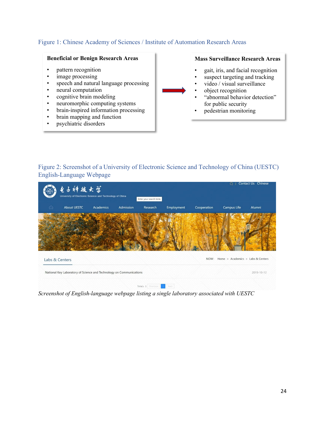### <span id="page-24-0"></span>Figure 1: Chinese Academy of Sciences / Institute of Automation Research Areas

#### **Beneficial or Benign Research Areas**

- pattern recognition
- image processing
- speech and natural language processing
- neural computation
- cognitive brain modeling
- neuromorphic computing systems
- brain-inspired information processing
- brain mapping and function
- psychiatric disorders

**Mass Surveillance Research Areas**

- gait, iris, and facial recognition
- suspect targeting and tracking
- video / visual surveillance
- object recognition
- "abnormal behavior detection" for public security
- pedestrian monitoring

<span id="page-24-2"></span><span id="page-24-1"></span>Figure 2: Screenshot of a University of Electronic Science and Technology of China (UESTC) English-Language Webpage

|   | 电子神拔大学                                                              |                  |           |                        |            |             |                                   | Contact Us Chinese |
|---|---------------------------------------------------------------------|------------------|-----------|------------------------|------------|-------------|-----------------------------------|--------------------|
|   | University of Electronic Science and Technology of China            |                  |           | Enter your search term |            |             |                                   |                    |
| ⋒ | <b>About UESTC</b>                                                  | <b>Academics</b> | Admission | Research               | Employment | Cooperation | Campus Life                       | Alumni             |
|   |                                                                     |                  |           |                        |            |             |                                   |                    |
|   | Labs & Centers                                                      |                  |           |                        |            | NOW:        | Home > Academics > Labs & Centers |                    |
|   | National Key Laboratory of Science and Technology on Communications |                  |           |                        |            |             |                                   | 2019-10-12         |
|   |                                                                     |                  |           | Total: 1 Previous      | Nort.      |             |                                   |                    |

*Screenshot of English-language webpage listing a single laboratory associated with UESTC*